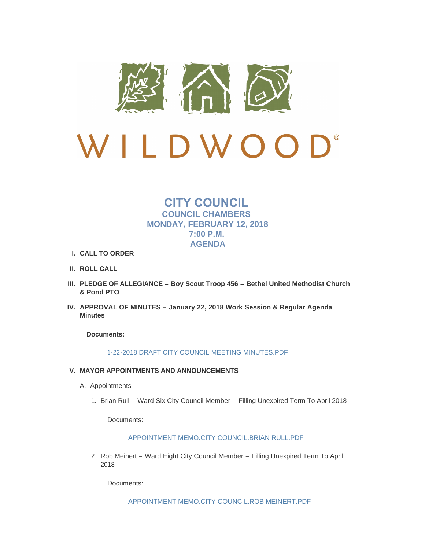

# $\mathbf{D}^*$ LDWO  $\overline{\mathcal{L}}$

## **CITY COUNCIL COUNCIL CHAMBERS MONDAY, FEBRUARY 12, 2018 7:00 P.M. AGENDA**

- **CALL TO ORDER I.**
- **ROLL CALL II.**
- **PLEDGE OF ALLEGIANCE – Boy Scout Troop 456 – Bethel United Methodist Church III. & Pond PTO**
- **APPROVAL OF MINUTES – January 22, 2018 Work Session & Regular Agenda IV. Minutes**

**Documents:**

[1-22-2018 DRAFT CITY COUNCIL MEETING MINUTES.PDF](http://mo-wildwood.civicplus.com/AgendaCenter/ViewFile/Item/14063?fileID=19755)

- **MAYOR APPOINTMENTS AND ANNOUNCEMENTS V.**
	- A. Appointments
		- 1. Brian Rull Ward Six City Council Member Filling Unexpired Term To April 2018

Documents:

## [APPOINTMENT MEMO.CITY COUNCIL.BRIAN RULL.PDF](http://mo-wildwood.civicplus.com/AgendaCenter/ViewFile/Item/14130?fileID=19787)

2. Rob Meinert – Ward Eight City Council Member – Filling Unexpired Term To April 2018

Documents:

[APPOINTMENT MEMO.CITY COUNCIL.ROB MEINERT.PDF](http://mo-wildwood.civicplus.com/AgendaCenter/ViewFile/Item/14158?fileID=19829)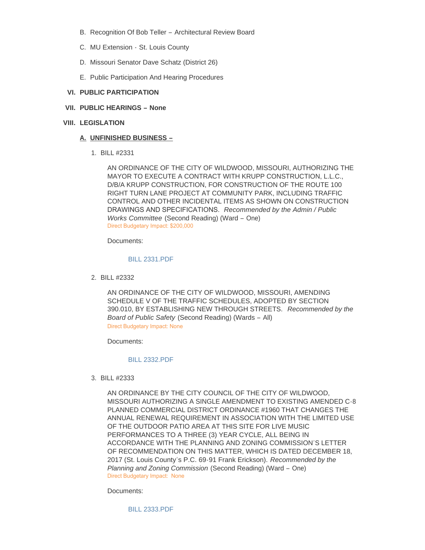- B. Recognition Of Bob Teller Architectural Review Board
- MU Extension St. Louis County C.
- D. Missouri Senator Dave Schatz (District 26)
- E. Public Participation And Hearing Procedures
- **PUBLIC PARTICIPATION VI.**
- **PUBLIC HEARINGS – None VII.**
- **LEGISLATION VIII.**

## **UNFINISHED BUSINESS – A.**

BILL #2331 1.

AN ORDINANCE OF THE CITY OF WILDWOOD, MISSOURI, AUTHORIZING THE MAYOR TO EXECUTE A CONTRACT WITH KRUPP CONSTRUCTION, L.L.C., D/B/A KRUPP CONSTRUCTION, FOR CONSTRUCTION OF THE ROUTE 100 RIGHT TURN LANE PROJECT AT COMMUNITY PARK, INCLUDING TRAFFIC CONTROL AND OTHER INCIDENTAL ITEMS AS SHOWN ON CONSTRUCTION DRAWINGS AND SPECIFICATIONS. *Recommended by the Admin / Public Works Committee* (Second Reading) (Ward – One) Direct Budgetary Impact: \$200,000

Documents:

#### [BILL 2331.PDF](http://mo-wildwood.civicplus.com/AgendaCenter/ViewFile/Item/14133?fileID=19791)

BILL #2332 2.

AN ORDINANCE OF THE CITY OF WILDWOOD, MISSOURI, AMENDING SCHEDULE V OF THE TRAFFIC SCHEDULES, ADOPTED BY SECTION 390.010, BY ESTABLISHING NEW THROUGH STREETS. *Recommended by the Board of Public Safety* (Second Reading) (Wards – All) Direct Budgetary Impact: None

Documents:

## [BILL 2332.PDF](http://mo-wildwood.civicplus.com/AgendaCenter/ViewFile/Item/14134?fileID=19792)

BILL #2333 3.

AN ORDINANCE BY THE CITY COUNCIL OF THE CITY OF WILDWOOD, MISSOURI AUTHORIZING A SINGLE AMENDMENT TO EXISTING AMENDED C-8 PLANNED COMMERCIAL DISTRICT ORDINANCE #1960 THAT CHANGES THE ANNUAL RENEWAL REQUIREMENT IN ASSOCIATION WITH THE LIMITED USE OF THE OUTDOOR PATIO AREA AT THIS SITE FOR LIVE MUSIC PERFORMANCES TO A THREE (3) YEAR CYCLE, ALL BEING IN ACCORDANCE WITH THE PLANNING AND ZONING COMMISSION'S LETTER OF RECOMMENDATION ON THIS MATTER, WHICH IS DATED DECEMBER 18, 2017 (St. Louis County's P.C. 69-91 Frank Erickson). *Recommended by the Planning and Zoning Commission* (Second Reading) (Ward – One) Direct Budgetary Impact: None

Documents:

[BILL 2333.PDF](http://mo-wildwood.civicplus.com/AgendaCenter/ViewFile/Item/14135?fileID=19793)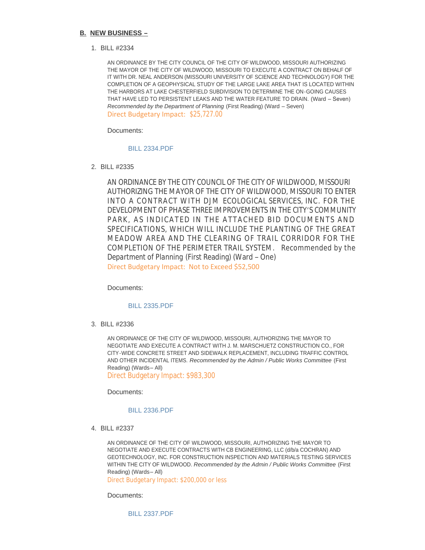#### **NEW BUSINESS – B.**

BILL #2334 1.

AN ORDINANCE BY THE CITY COUNCIL OF THE CITY OF WILDWOOD, MISSOURI AUTHORIZING THE MAYOR OF THE CITY OF WILDWOOD, MISSOURI TO EXECUTE A CONTRACT ON BEHALF OF IT WITH DR. NEAL ANDERSON (MISSOURI UNIVERSITY OF SCIENCE AND TECHNOLOGY) FOR THE COMPLETION OF A GEOPHYSICAL STUDY OF THE LARGE LAKE AREA THAT IS LOCATED WITHIN THE HARBORS AT LAKE CHESTERFIELD SUBDIVISION TO DETERMINE THE ON-GOING CAUSES THAT HAVE LED TO PERSISTENT LEAKS AND THE WATER FEATURE TO DRAIN. (Ward – Seven) *Recommended by the Department of Planning* (First Reading) (Ward – Seven) Direct Budgetary Impact: \$25,727.00

Documents:

#### [BILL 2334.PDF](http://mo-wildwood.civicplus.com/AgendaCenter/ViewFile/Item/14080?fileID=19759)

BILL #2335 2.

AN ORDINANCE BY THE CITY COUNCIL OF THE CITY OF WILDWOOD, MISSOURI AUTHORIZING THE MAYOR OF THE CITY OF WILDWOOD, MISSOURI TO ENTER INTO A CONTRACT WITH DJM ECOLOGICAL SERVICES, INC. FOR THE DEVELOPMENT OF PHASE THREE IMPROVEMENTS IN THE CITY'S COMMUNITY PARK, AS INDICATED IN THE ATTACHED BID DOCUMENTS AND SPECIFICATIONS, WHICH WILL INCLUDE THE PLANTING OF THE GREAT MEADOW AREA AND THE CLEARING OF TRAIL CORRIDOR FOR THE COMPLETION OF THE PERIMETER TRAIL SYSTEM. *Recommended by the Department of Planning* (First Reading) (Ward – One) Direct Budgetary Impact: Not to Exceed \$52,500

Documents:

## [BILL 2335.PDF](http://mo-wildwood.civicplus.com/AgendaCenter/ViewFile/Item/14081?fileID=19795)

BILL #2336 3.

AN ORDINANCE OF THE CITY OF WILDWOOD, MISSOURI, AUTHORIZING THE MAYOR TO NEGOTIATE AND EXECUTE A CONTRACT WITH J. M. MARSCHUETZ CONSTRUCTION CO., FOR CITY-WIDE CONCRETE STREET AND SIDEWALK REPLACEMENT, INCLUDING TRAFFIC CONTROL AND OTHER INCIDENTAL ITEMS. *Recommended by the Admin / Public Works Committee* (First Reading) (Wards– All)

Direct Budgetary Impact: \$983,300

Documents:

#### [BILL 2336.PDF](http://mo-wildwood.civicplus.com/AgendaCenter/ViewFile/Item/14082?fileID=19760)

BILL #2337 4.

AN ORDINANCE OF THE CITY OF WILDWOOD, MISSOURI, AUTHORIZING THE MAYOR TO NEGOTIATE AND EXECUTE CONTRACTS WITH CB ENGINEERING, LLC (d/b/a COCHRAN) AND GEOTECHNOLOGY, INC. FOR CONSTRUCTION INSPECTION AND MATERIALS TESTING SERVICES WITHIN THE CITY OF WILDWOOD. *Recommended by the Admin / Public Works Committee* (First Reading) (Wards– All)

Direct Budgetary Impact: \$200,000 or less

Documents:

[BILL 2337.PDF](http://mo-wildwood.civicplus.com/AgendaCenter/ViewFile/Item/14083?fileID=19761)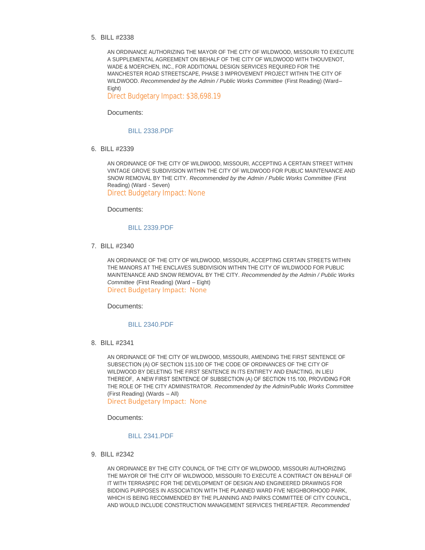BILL #2338 5.

AN ORDINANCE AUTHORIZING THE MAYOR OF THE CITY OF WILDWOOD, MISSOURI TO EXECUTE A SUPPLEMENTAL AGREEMENT ON BEHALF OF THE CITY OF WILDWOOD WITH THOUVENOT, WADE & MOERCHEN, INC., FOR ADDITIONAL DESIGN SERVICES REQUIRED FOR THE MANCHESTER ROAD STREETSCAPE, PHASE 3 IMPROVEMENT PROJECT WITHIN THE CITY OF WILDWOOD. *Recommended by the Admin / Public Works Committee* (First Reading) (Ward– Eight)

Direct Budgetary Impact: \$38,698.19

Documents:

#### [BILL 2338.PDF](http://mo-wildwood.civicplus.com/AgendaCenter/ViewFile/Item/14084?fileID=19762)

BILL #2339 6.

AN ORDINANCE OF THE CITY OF WILDWOOD, MISSOURI, ACCEPTING A CERTAIN STREET WITHIN VINTAGE GROVE SUBDIVISION WITHIN THE CITY OF WILDWOOD FOR PUBLIC MAINTENANCE AND SNOW REMOVAL BY THE CITY. *Recommended by the Admin / Public Works Committee* (First Reading) (Ward - Seven) Direct Budgetary Impact: None

Documents:

#### [BILL 2339.PDF](http://mo-wildwood.civicplus.com/AgendaCenter/ViewFile/Item/14085?fileID=19763)

BILL #2340 7.

AN ORDINANCE OF THE CITY OF WILDWOOD, MISSOURI, ACCEPTING CERTAIN STREETS WITHIN THE MANORS AT THE ENCLAVES SUBDIVISION WITHIN THE CITY OF WILDWOOD FOR PUBLIC MAINTENANCE AND SNOW REMOVAL BY THE CITY. *Recommended by the Admin / Public Works Committee* (First Reading) (Ward – Eight) Direct Budgetary Impact: None

Documents:

#### [BILL 2340.PDF](http://mo-wildwood.civicplus.com/AgendaCenter/ViewFile/Item/14086?fileID=19764)

BILL #2341 8.

AN ORDINANCE OF THE CITY OF WILDWOOD, MISSOURI, AMENDING THE FIRST SENTENCE OF SUBSECTION (A) OF SECTION 115.100 OF THE CODE OF ORDINANCES OF THE CITY OF WILDWOOD BY DELETING THE FIRST SENTENCE IN ITS ENTIRETY AND ENACTING, IN LIEU THEREOF, A NEW FIRST SENTENCE OF SUBSECTION (A) OF SECTION 115.100, PROVIDING FOR THE ROLE OF THE CITY ADMINISTRATOR. *Recommended by the Admin/Public Works Committee*  (First Reading) (Wards – All)

Direct Budgetary Impact: None

Documents:

#### [BILL 2341.PDF](http://mo-wildwood.civicplus.com/AgendaCenter/ViewFile/Item/14087?fileID=19765)

BILL #2342 9.

AN ORDINANCE BY THE CITY COUNCIL OF THE CITY OF WILDWOOD, MISSOURI AUTHORIZING THE MAYOR OF THE CITY OF WILDWOOD, MISSOURI TO EXECUTE A CONTRACT ON BEHALF OF IT WITH TERRASPEC FOR THE DEVELOPMENT OF DESIGN AND ENGINEERED DRAWINGS FOR BIDDING PURPOSES IN ASSOCIATION WITH THE PLANNED WARD FIVE NEIGHBORHOOD PARK, WHICH IS BEING RECOMMENDED BY THE PLANNING AND PARKS COMMITTEE OF CITY COUNCIL, AND WOULD INCLUDE CONSTRUCTION MANAGEMENT SERVICES THEREAFTER. *Recommended*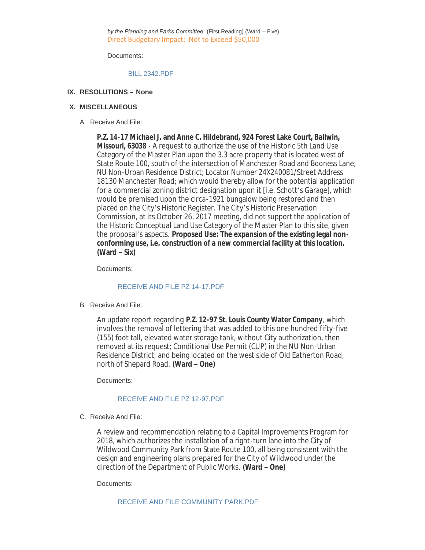*by the Planning and Parks Committee* (First Reading) (Ward – Five) Direct Budgetary Impact: Not to Exceed \$50,000

Documents:

#### [BILL 2342.PDF](http://mo-wildwood.civicplus.com/AgendaCenter/ViewFile/Item/14088?fileID=19766)

## **RESOLUTIONS – None IX.**

## **MISCELLANEOUS X.**

A. Receive And File:

**P.Z. 14-17 Michael J. and Anne C. Hildebrand, 924 Forest Lake Court, Ballwin, Missouri, 63038** - A request to authorize the use of the Historic 5th Land Use Category of the Master Plan upon the 3.3 acre property that is located west of State Route 100, south of the intersection of Manchester Road and Booness Lane; NU Non-Urban Residence District; Locator Number 24X240081/Street Address 18130 Manchester Road; which would thereby allow for the potential application for a commercial zoning district designation upon it [i.e. Schott's Garage], which would be premised upon the circa-1921 bungalow being restored and then placed on the City's Historic Register. The City's Historic Preservation Commission, at its October 26, 2017 meeting, did not support the application of the Historic Conceptual Land Use Category of the Master Plan to this site, given the proposal's aspects. **Proposed Use: The expansion of the existing legal nonconforming use, i.e. construction of a new commercial facility at this location. (Ward – Six)**

Documents:

## [RECEIVE AND FILE PZ 14-17.PDF](http://mo-wildwood.civicplus.com/AgendaCenter/ViewFile/Item/14091?fileID=19767)

B. Receive And File:

An update report regarding **P.Z. 12-97 St. Louis County Water Company**, which involves the removal of lettering that was added to this one hundred fifty-five (155) foot tall, elevated water storage tank, without City authorization, then removed at its request; Conditional Use Permit (CUP) in the NU Non-Urban Residence District; and being located on the west side of Old Eatherton Road, north of Shepard Road. **(Ward – One)**

Documents:

## [RECEIVE AND FILE PZ 12-97.PDF](http://mo-wildwood.civicplus.com/AgendaCenter/ViewFile/Item/14092?fileID=19768)

C. Receive And File:

A review and recommendation relating to a Capital Improvements Program for 2018, which authorizes the installation of a right-turn lane into the City of Wildwood Community Park from State Route 100, all being consistent with the design and engineering plans prepared for the City of Wildwood under the direction of the Department of Public Works. **(Ward – One)**

Documents:

[RECEIVE AND FILE COMMUNITY PARK.PDF](http://mo-wildwood.civicplus.com/AgendaCenter/ViewFile/Item/14093?fileID=19769)